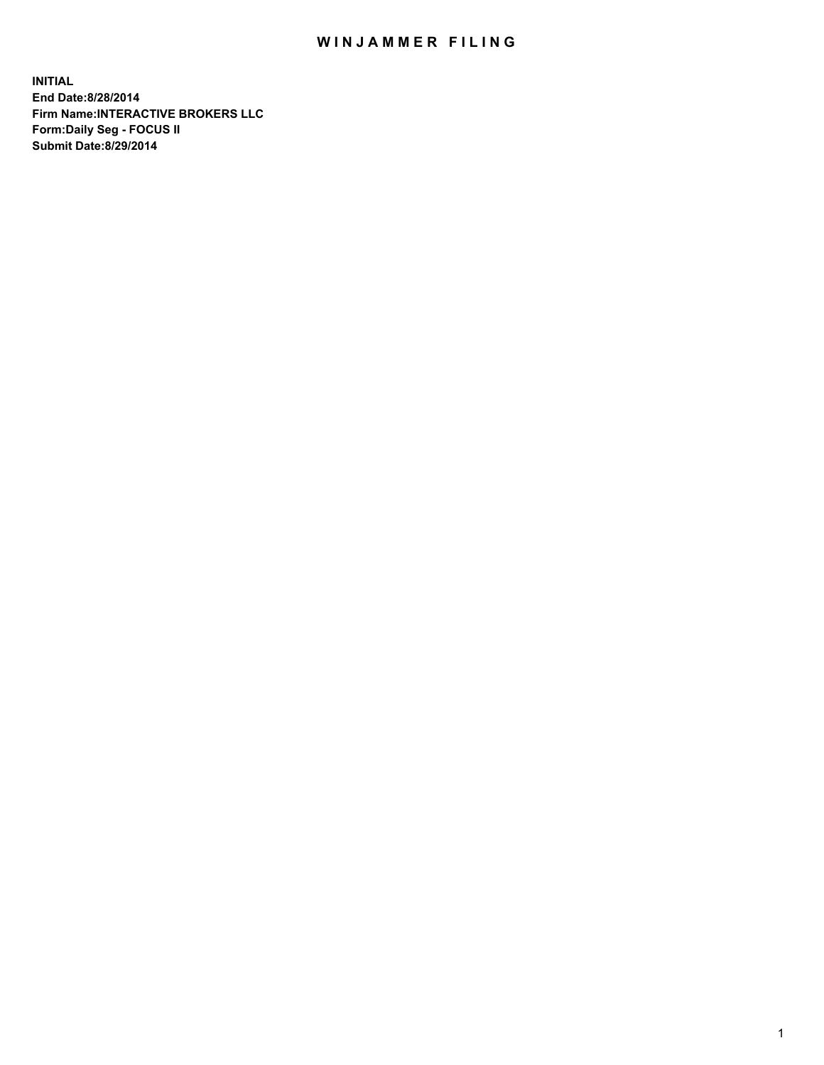## WIN JAMMER FILING

**INITIAL End Date:8/28/2014 Firm Name:INTERACTIVE BROKERS LLC Form:Daily Seg - FOCUS II Submit Date:8/29/2014**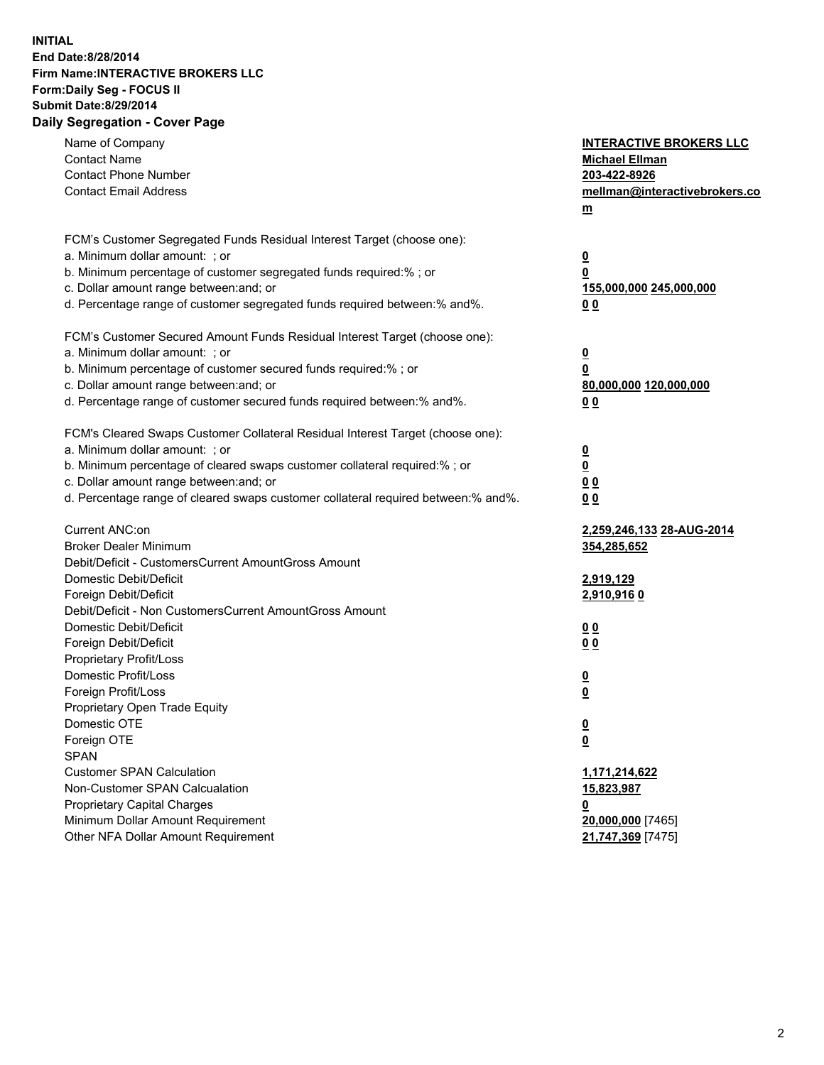## **INITIAL End Date:8/28/2014 Firm Name:INTERACTIVE BROKERS LLC Form:Daily Seg - FOCUS II Submit Date:8/29/2014 Daily Segregation - Cover Page**

| Name of Company                                                                   | <b>INTERACTIVE BROKERS LLC</b>                      |
|-----------------------------------------------------------------------------------|-----------------------------------------------------|
| <b>Contact Name</b>                                                               | <b>Michael Ellman</b>                               |
| <b>Contact Phone Number</b>                                                       | 203-422-8926                                        |
| <b>Contact Email Address</b>                                                      | mellman@interactivebrokers.co                       |
|                                                                                   | $\underline{\mathbf{m}}$                            |
| FCM's Customer Segregated Funds Residual Interest Target (choose one):            |                                                     |
| a. Minimum dollar amount: ; or                                                    | $\overline{\mathbf{0}}$                             |
| b. Minimum percentage of customer segregated funds required:% ; or                | 0                                                   |
| c. Dollar amount range between: and; or                                           | 155,000,000 245,000,000                             |
| d. Percentage range of customer segregated funds required between:% and%.         | 00                                                  |
| FCM's Customer Secured Amount Funds Residual Interest Target (choose one):        |                                                     |
| a. Minimum dollar amount: ; or                                                    | $\overline{\mathbf{0}}$                             |
| b. Minimum percentage of customer secured funds required:% ; or                   | 0                                                   |
| c. Dollar amount range between: and; or                                           | 80,000,000 120,000,000                              |
| d. Percentage range of customer secured funds required between:% and%.            | 00                                                  |
| FCM's Cleared Swaps Customer Collateral Residual Interest Target (choose one):    |                                                     |
| a. Minimum dollar amount: ; or                                                    |                                                     |
| b. Minimum percentage of cleared swaps customer collateral required:% ; or        | $\overline{\mathbf{0}}$<br>$\underline{\mathbf{0}}$ |
| c. Dollar amount range between: and; or                                           | 0 <sub>0</sub>                                      |
| d. Percentage range of cleared swaps customer collateral required between:% and%. | 0 <sub>0</sub>                                      |
|                                                                                   |                                                     |
| Current ANC:on                                                                    | 2,259,246,133 28-AUG-2014                           |
| <b>Broker Dealer Minimum</b>                                                      | 354,285,652                                         |
| Debit/Deficit - CustomersCurrent AmountGross Amount                               |                                                     |
| Domestic Debit/Deficit                                                            | 2,919,129                                           |
| Foreign Debit/Deficit                                                             | <u>2,910,9160</u>                                   |
| Debit/Deficit - Non CustomersCurrent AmountGross Amount                           |                                                     |
| Domestic Debit/Deficit                                                            | 0 <sub>0</sub>                                      |
| Foreign Debit/Deficit                                                             | 0 <sub>0</sub>                                      |
| Proprietary Profit/Loss                                                           |                                                     |
| Domestic Profit/Loss                                                              | $\overline{\mathbf{0}}$                             |
| Foreign Profit/Loss                                                               | $\underline{\mathbf{0}}$                            |
| Proprietary Open Trade Equity                                                     |                                                     |
| Domestic OTE                                                                      | <u>0</u>                                            |
| Foreign OTE                                                                       | <u>0</u>                                            |
| <b>SPAN</b>                                                                       |                                                     |
| <b>Customer SPAN Calculation</b>                                                  | 1,171,214,622                                       |
| Non-Customer SPAN Calcualation                                                    | 15,823,987                                          |
| Proprietary Capital Charges                                                       | <u>0</u>                                            |
| Minimum Dollar Amount Requirement                                                 | 20,000,000 [7465]                                   |
| Other NFA Dollar Amount Requirement                                               | 21,747,369 [7475]                                   |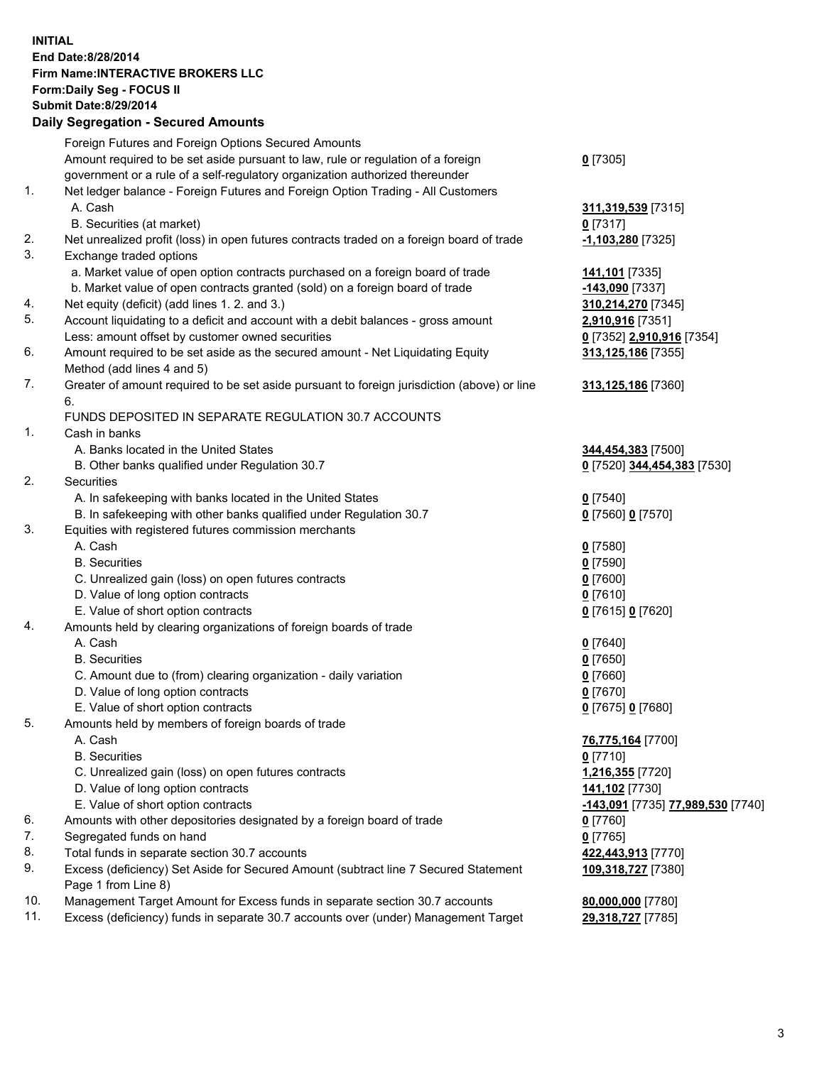## **INITIAL End Date:8/28/2014 Firm Name:INTERACTIVE BROKERS LLC Form:Daily Seg - FOCUS II Submit Date:8/29/2014 Daily Segregation - Secured Amounts**

|                | Daily Ocglegation - Occarea Anioants                                                                       |                                   |
|----------------|------------------------------------------------------------------------------------------------------------|-----------------------------------|
|                | Foreign Futures and Foreign Options Secured Amounts                                                        |                                   |
|                | Amount required to be set aside pursuant to law, rule or regulation of a foreign                           | $0$ [7305]                        |
|                | government or a rule of a self-regulatory organization authorized thereunder                               |                                   |
| 1.             | Net ledger balance - Foreign Futures and Foreign Option Trading - All Customers                            |                                   |
|                | A. Cash                                                                                                    | 311,319,539 [7315]                |
|                | B. Securities (at market)                                                                                  | $0$ [7317]                        |
| 2.             | Net unrealized profit (loss) in open futures contracts traded on a foreign board of trade                  | -1,103,280 [7325]                 |
| 3.             | Exchange traded options                                                                                    |                                   |
|                | a. Market value of open option contracts purchased on a foreign board of trade                             | 141,101 [7335]                    |
|                | b. Market value of open contracts granted (sold) on a foreign board of trade                               | -143,090 [7337]                   |
| 4.             | Net equity (deficit) (add lines 1.2. and 3.)                                                               | 310,214,270 [7345]                |
| 5.             | Account liquidating to a deficit and account with a debit balances - gross amount                          | 2,910,916 [7351]                  |
|                | Less: amount offset by customer owned securities                                                           | 0 [7352] 2,910,916 [7354]         |
| 6.             | Amount required to be set aside as the secured amount - Net Liquidating Equity                             | 313,125,186 [7355]                |
|                | Method (add lines 4 and 5)                                                                                 |                                   |
| 7.             | Greater of amount required to be set aside pursuant to foreign jurisdiction (above) or line                | 313,125,186 [7360]                |
|                | 6.                                                                                                         |                                   |
|                | FUNDS DEPOSITED IN SEPARATE REGULATION 30.7 ACCOUNTS                                                       |                                   |
| $\mathbf{1}$ . | Cash in banks                                                                                              |                                   |
|                | A. Banks located in the United States                                                                      | 344,454,383 [7500]                |
|                | B. Other banks qualified under Regulation 30.7                                                             | 0 [7520] 344,454,383 [7530]       |
| 2.             | Securities                                                                                                 |                                   |
|                | A. In safekeeping with banks located in the United States                                                  | $0$ [7540]                        |
|                | B. In safekeeping with other banks qualified under Regulation 30.7                                         | 0 [7560] 0 [7570]                 |
| 3.             | Equities with registered futures commission merchants                                                      |                                   |
|                | A. Cash                                                                                                    | $0$ [7580]                        |
|                | <b>B.</b> Securities                                                                                       | $0$ [7590]                        |
|                | C. Unrealized gain (loss) on open futures contracts                                                        | $0$ [7600]                        |
|                | D. Value of long option contracts                                                                          | $0$ [7610]                        |
|                | E. Value of short option contracts                                                                         | 0 [7615] 0 [7620]                 |
| 4.             | Amounts held by clearing organizations of foreign boards of trade                                          |                                   |
|                | A. Cash                                                                                                    | $Q$ [7640]                        |
|                | <b>B.</b> Securities                                                                                       | $0$ [7650]                        |
|                | C. Amount due to (from) clearing organization - daily variation                                            | $0$ [7660]                        |
|                | D. Value of long option contracts                                                                          | $0$ [7670]                        |
|                | E. Value of short option contracts                                                                         | 0 [7675] 0 [7680]                 |
| 5.             | Amounts held by members of foreign boards of trade                                                         |                                   |
|                | A. Cash                                                                                                    | 76,775,164 [7700]                 |
|                | <b>B.</b> Securities                                                                                       | $0$ [7710]                        |
|                | C. Unrealized gain (loss) on open futures contracts                                                        | 1,216,355 [7720]                  |
|                | D. Value of long option contracts                                                                          | 141,102 [7730]                    |
|                | E. Value of short option contracts                                                                         | -143,091 [7735] 77,989,530 [7740] |
| 6.             | Amounts with other depositories designated by a foreign board of trade                                     | <u>0</u> [7760]                   |
| 7.             | Segregated funds on hand                                                                                   | $0$ [7765]                        |
| 8.             | Total funds in separate section 30.7 accounts                                                              | 422,443,913 [7770]                |
| 9.             | Excess (deficiency) Set Aside for Secured Amount (subtract line 7 Secured Statement<br>Page 1 from Line 8) | 109,318,727 [7380]                |
| 10.            | Management Target Amount for Excess funds in separate section 30.7 accounts                                | 80,000,000 [7780]                 |
| 11.            | Excess (deficiency) funds in separate 30.7 accounts over (under) Management Target                         | 29,318,727 [7785]                 |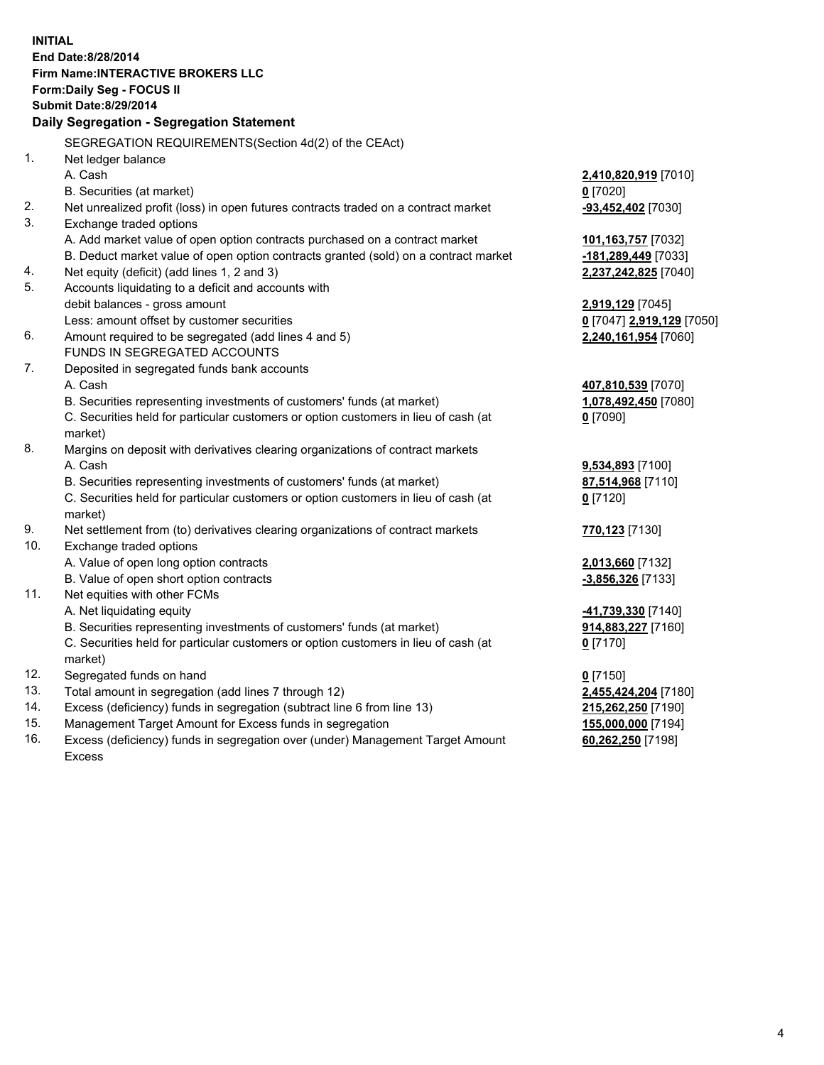**INITIAL End Date:8/28/2014 Firm Name:INTERACTIVE BROKERS LLC Form:Daily Seg - FOCUS II Submit Date:8/29/2014 Daily Segregation - Segregation Statement** SEGREGATION REQUIREMENTS(Section 4d(2) of the CEAct) 1. Net ledger balance A. Cash **2,410,820,919** [7010] B. Securities (at market) **0** [7020] 2. Net unrealized profit (loss) in open futures contracts traded on a contract market **-93,452,402** [7030] 3. Exchange traded options A. Add market value of open option contracts purchased on a contract market **101,163,757** [7032] B. Deduct market value of open option contracts granted (sold) on a contract market **-181,289,449** [7033] 4. Net equity (deficit) (add lines 1, 2 and 3) **2,237,242,825** [7040] 5. Accounts liquidating to a deficit and accounts with debit balances - gross amount **2,919,129** [7045] Less: amount offset by customer securities **0** [7047] **2,919,129** [7050] 6. Amount required to be segregated (add lines 4 and 5) **2,240,161,954** [7060] FUNDS IN SEGREGATED ACCOUNTS 7. Deposited in segregated funds bank accounts A. Cash **407,810,539** [7070] B. Securities representing investments of customers' funds (at market) **1,078,492,450** [7080] C. Securities held for particular customers or option customers in lieu of cash (at market) **0** [7090] 8. Margins on deposit with derivatives clearing organizations of contract markets A. Cash **9,534,893** [7100] B. Securities representing investments of customers' funds (at market) **87,514,968** [7110] C. Securities held for particular customers or option customers in lieu of cash (at market) **0** [7120] 9. Net settlement from (to) derivatives clearing organizations of contract markets **770,123** [7130] 10. Exchange traded options A. Value of open long option contracts **2,013,660** [7132] B. Value of open short option contracts **-3,856,326** [7133] 11. Net equities with other FCMs A. Net liquidating equity **-41,739,330** [7140] B. Securities representing investments of customers' funds (at market) **914,883,227** [7160] C. Securities held for particular customers or option customers in lieu of cash (at market) **0** [7170] 12. Segregated funds on hand **0** [7150] 13. Total amount in segregation (add lines 7 through 12) **2,455,424,204** [7180] 14. Excess (deficiency) funds in segregation (subtract line 6 from line 13) **215,262,250** [7190] 15. Management Target Amount for Excess funds in segregation **155,000,000** [7194]

16. Excess (deficiency) funds in segregation over (under) Management Target Amount Excess

**60,262,250** [7198]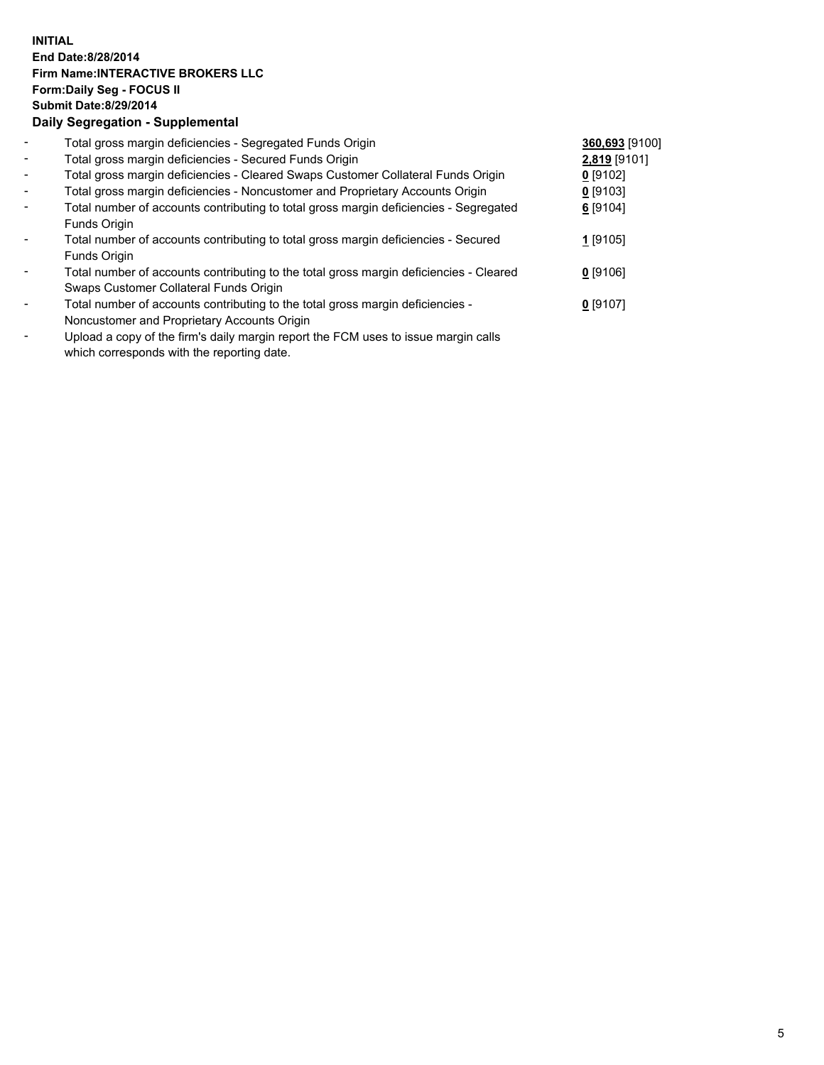## **INITIAL End Date:8/28/2014 Firm Name:INTERACTIVE BROKERS LLC Form:Daily Seg - FOCUS II Submit Date:8/29/2014 Daily Segregation - Supplemental**

| $\blacksquare$ | Total gross margin deficiencies - Segregated Funds Origin                              | 360,693 [9100] |  |
|----------------|----------------------------------------------------------------------------------------|----------------|--|
| $\sim$         | Total gross margin deficiencies - Secured Funds Origin                                 | 2,819 [9101]   |  |
| $\blacksquare$ | Total gross margin deficiencies - Cleared Swaps Customer Collateral Funds Origin       | $0$ [9102]     |  |
| $\sim$         | Total gross margin deficiencies - Noncustomer and Proprietary Accounts Origin          | $0$ [9103]     |  |
| $\blacksquare$ | Total number of accounts contributing to total gross margin deficiencies - Segregated  | 6 [9104]       |  |
|                | Funds Origin                                                                           |                |  |
|                | Total number of accounts contributing to total gross margin deficiencies - Secured     | 1 [9105]       |  |
|                | Funds Origin                                                                           |                |  |
|                | Total number of accounts contributing to the total gross margin deficiencies - Cleared | $0$ [9106]     |  |
|                | Swaps Customer Collateral Funds Origin                                                 |                |  |
|                | Total number of accounts contributing to the total gross margin deficiencies -         | $0$ [9107]     |  |
|                | Noncustomer and Proprietary Accounts Origin                                            |                |  |
|                |                                                                                        |                |  |

- Upload a copy of the firm's daily margin report the FCM uses to issue margin calls which corresponds with the reporting date.